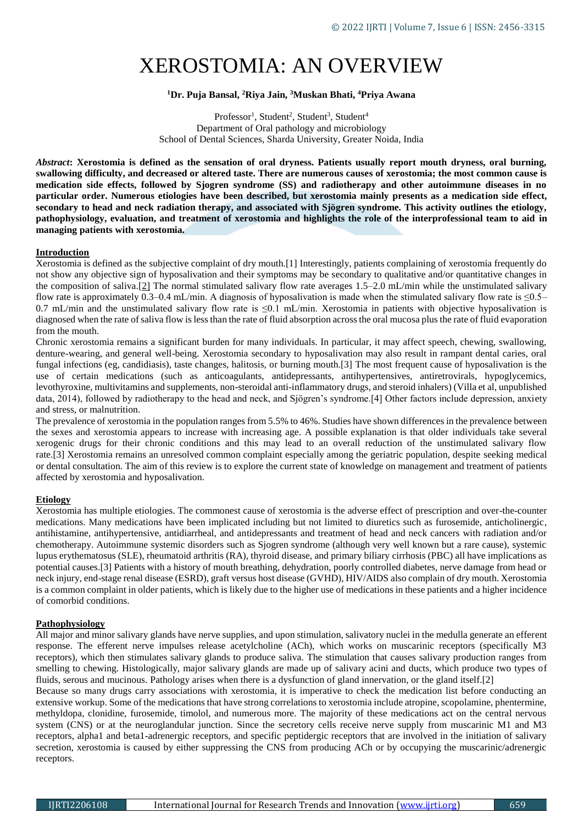# XEROSTOMIA: AN OVERVIEW

# **<sup>1</sup>Dr. Puja Bansal, <sup>2</sup>Riya Jain, <sup>3</sup>Muskan Bhati, <sup>4</sup>Priya Awana**

Professor<sup>1</sup>, Student<sup>2</sup>, Student<sup>3</sup>, Student<sup>4</sup> Department of Oral pathology and microbiology School of Dental Sciences, Sharda University, Greater Noida, India

*Abstract***: Xerostomia is defined as the sensation of oral dryness. Patients usually report mouth dryness, oral burning, swallowing difficulty, and decreased or altered taste. There are numerous causes of xerostomia; the most common cause is medication side effects, followed by Sjogren syndrome (SS) and radiotherapy and other autoimmune diseases in no particular order. Numerous etiologies have been described, but xerostomia mainly presents as a medication side effect, secondary to head and neck radiation therapy, and associated with Sjögren syndrome. This activity outlines the etiology, pathophysiology, evaluation, and treatment of xerostomia and highlights the role of the interprofessional team to aid in managing patients with xerostomia.**

#### **Introduction**

Xerostomia is defined as the subjective complaint of dry mouth.[1] Interestingly, patients complaining of xerostomia frequently do not show any objective sign of hyposalivation and their symptoms may be secondary to qualitative and/or quantitative changes in the composition of saliva.[\[2\]](https://www.ncbi.nlm.nih.gov/pmc/articles/PMC4278738/#b2-tcrm-11-045) The normal stimulated salivary flow rate averages 1.5–2.0 mL/min while the unstimulated salivary flow rate is approximately 0.3–0.4 mL/min. A diagnosis of hyposalivation is made when the stimulated salivary flow rate is  $\leq 0.5-$ 0.7 mL/min and the unstimulated salivary flow rate is  $\leq 0.1$  mL/min. Xerostomia in patients with objective hyposalivation is diagnosed when the rate of saliva flow is less than the rate of fluid absorption across the oral mucosa plus the rate of fluid evaporation from the mouth.

Chronic xerostomia remains a significant burden for many individuals. In particular, it may affect speech, chewing, swallowing, denture-wearing, and general well-being. Xerostomia secondary to hyposalivation may also result in rampant dental caries, oral fungal infections (eg, candidiasis), taste changes, halitosis, or burning mouth.[3] The most frequent cause of hyposalivation is the use of certain medications (such as anticoagulants, antidepressants, antihypertensives, antiretrovirals, hypoglycemics, levothyroxine, multivitamins and supplements, non-steroidal anti-inflammatory drugs, and steroid inhalers) (Villa et al, unpublished data, 2014), followed by radiotherapy to the head and neck, and Sjögren's syndrome.[4] Other factors include depression, anxiety and stress, or malnutrition.

The prevalence of xerostomia in the population ranges from 5.5% to 46%. Studies have shown differences in the prevalence between the sexes and xerostomia appears to increase with increasing age. A possible explanation is that older individuals take several xerogenic drugs for their chronic conditions and this may lead to an overall reduction of the unstimulated salivary flow rate.[3] Xerostomia remains an unresolved common complaint especially among the geriatric population, despite seeking medical or dental consultation. The aim of this review is to explore the current state of knowledge on management and treatment of patients affected by xerostomia and hyposalivation.

# **Etiology**

Xerostomia has multiple etiologies. The commonest cause of xerostomia is the adverse effect of prescription and over-the-counter medications. Many medications have been implicated including but not limited to diuretics such as furosemide, anticholinergic, antihistamine, antihypertensive, antidiarrheal, and antidepressants and treatment of head and neck cancers with radiation and/or chemotherapy. Autoimmune systemic disorders such as Sjogren syndrome (although very well known but a rare cause), systemic lupus erythematosus (SLE), rheumatoid arthritis (RA), thyroid disease, and primary biliary cirrhosis (PBC) all have implications as potential causes.[3] Patients with a history of mouth breathing, dehydration, poorly controlled diabetes, nerve damage from head or neck injury, end-stage renal disease (ESRD), graft versus host disease (GVHD), HIV/AIDS also complain of dry mouth. Xerostomia is a common complaint in older patients, which is likely due to the higher use of medications in these patients and a higher incidence of comorbid conditions.

# **Pathophysiology**

All major and minor salivary glands have nerve supplies, and upon stimulation, salivatory nuclei in the medulla generate an efferent response. The efferent nerve impulses release acetylcholine (ACh), which works on muscarinic receptors (specifically M3 receptors), which then stimulates salivary glands to produce saliva. The stimulation that causes salivary production ranges from smelling to chewing. Histologically, major salivary glands are made up of salivary acini and ducts, which produce two types of fluids, serous and mucinous. Pathology arises when there is a dysfunction of gland innervation, or the gland itself.[2]

Because so many drugs carry associations with xerostomia, it is imperative to check the medication list before conducting an extensive workup. Some of the medications that have strong correlations to xerostomia include atropine, scopolamine, phentermine, methyldopa, clonidine, furosemide, timolol, and numerous more. The majority of these medications act on the central nervous system (CNS) or at the neuroglandular junction. Since the secretory cells receive nerve supply from muscarinic M1 and M3 receptors, alpha1 and beta1-adrenergic receptors, and specific peptidergic receptors that are involved in the initiation of salivary secretion, xerostomia is caused by either suppressing the CNS from producing ACh or by occupying the muscarinic/adrenergic receptors.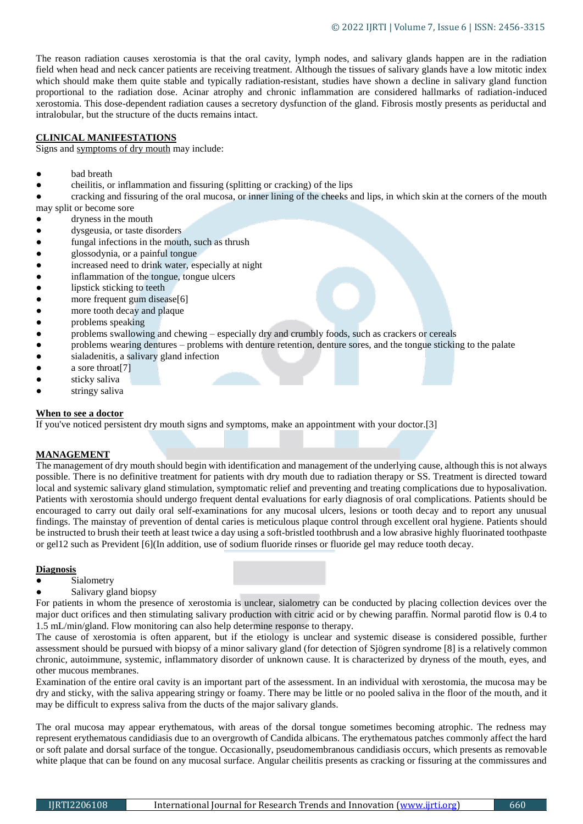The reason radiation causes xerostomia is that the oral cavity, lymph nodes, and salivary glands happen are in the radiation field when head and neck cancer patients are receiving treatment. Although the tissues of salivary glands have a low mitotic index which should make them quite stable and typically radiation-resistant, studies have shown a decline in salivary gland function proportional to the radiation dose. Acinar atrophy and chronic inflammation are considered hallmarks of radiation-induced xerostomia. This dose-dependent radiation causes a secretory dysfunction of the gland. Fibrosis mostly presents as periductal and intralobular, but the structure of the ducts remains intact.

#### **CLINICAL MANIFESTATIONS**

Signs and [symptoms of dry mouth](http://www.mayoclinic.org/diseases-conditions/dry-mouth/basics/symptoms/con-20035499) may include:

- had breath
- cheilitis, or [inflammation](https://www.medicalnewstoday.com/articles/248423.php) and fissuring (splitting or cracking) of the lips
- cracking and fissuring of the oral mucosa, or inner lining of the cheeks and lips, in which skin at the corners of the mouth may split or become sore
- dryness in the mouth
- dysgeusia, or taste disorders
- fungal infections in the mouth, such as thrush
- glossodynia, or a painful tongue
- increased need to drink water, especially at night
- inflammation of the tongue, tongue ulcers
- lipstick sticking to teeth
- more frequent [gum disease\[](https://www.medicalnewstoday.com/articles/241721.php)6]
- more tooth decay and plaque
- problems speaking
- problems swallowing and chewing especially dry and crumbly foods, such as crackers or cereals
- problems wearing dentures problems with denture retention, denture sores, and the tongue sticking to the palate
- sialadenitis, a salivary gland infection
- a sore throat<sup>[7]</sup>
- sticky saliva
- stringy saliva

#### **When to see a doctor**

If you've noticed persistent dry mouth signs and symptoms, make an appointment with your doctor.[3]

# **MANAGEMENT**

The management of dry mouth should begin with identification and management of the underlying cause, although this is not always possible. There is no definitive treatment for patients with dry mouth due to radiation therapy or SS. Treatment is directed toward local and systemic salivary gland stimulation, symptomatic relief and preventing and treating complications due to hyposalivation. Patients with xerostomia should undergo frequent dental evaluations for early diagnosis of oral complications. Patients should be encouraged to carry out daily oral self-examinations for any mucosal ulcers, lesions or tooth decay and to report any unusual findings. The mainstay of prevention of dental caries is meticulous plaque control through excellent oral hygiene. Patients should be instructed to brush their teeth at least twice a day using a soft-bristled toothbrush and a low abrasive highly fluorinated toothpaste or gel12 such as Prevident [6](In addition, use of sodium fluoride rinses or fluoride gel may reduce tooth decay.

#### **Diagnosis**

- Sialometry
- Salivary gland biopsy

For patients in whom the presence of xerostomia is unclear, sialometry can be conducted by placing collection devices over the major duct orifices and then stimulating salivary production with citric acid or by chewing paraffin. Normal parotid flow is 0.4 to 1.5 mL/min/gland. Flow monitoring can also help determine response to therapy.

The cause of xerostomia is often apparent, but if the etiology is unclear and systemic disease is considered possible, further assessment should be pursued with biopsy of a minor salivary gland (for detection of [Sjögren syndrome](https://www.msdmanuals.com/professional/musculoskeletal-and-connective-tissue-disorders/autoimmune-rheumatic-disorders/sj%C3%B6gren-syndrome) [8] [is a relatively common](https://www.msdmanuals.com/professional/musculoskeletal-and-connective-tissue-disorders/autoimmune-rheumatic-disorders/sj%C3%B6gren-syndrome)  [chronic, autoimmune, systemic, inflammatory disorder of unknown cause. It is characterized by dryness of the mouth, eyes, and](https://www.msdmanuals.com/professional/musculoskeletal-and-connective-tissue-disorders/autoimmune-rheumatic-disorders/sj%C3%B6gren-syndrome) [other mucous membranes.](https://www.msdmanuals.com/professional/musculoskeletal-and-connective-tissue-disorders/autoimmune-rheumatic-disorders/sj%C3%B6gren-syndrome)

Examination of the entire oral cavity is an important part of the assessment. In an individual with xerostomia, the mucosa may be dry and sticky, with the saliva appearing stringy or foamy. There may be little or no pooled saliva in the floor of the mouth, and it may be difficult to express saliva from the ducts of the major salivary glands.

The oral mucosa may appear erythematous, with areas of the dorsal tongue sometimes becoming atrophic. The redness may represent erythematous candidiasis due to an overgrowth of Candida albicans. The erythematous patches commonly affect the hard or soft palate and dorsal surface of the tongue. Occasionally, pseudomembranous candidiasis occurs, which presents as removable white plaque that can be found on any mucosal surface. Angular cheilitis presents as cracking or fissuring at the commissures and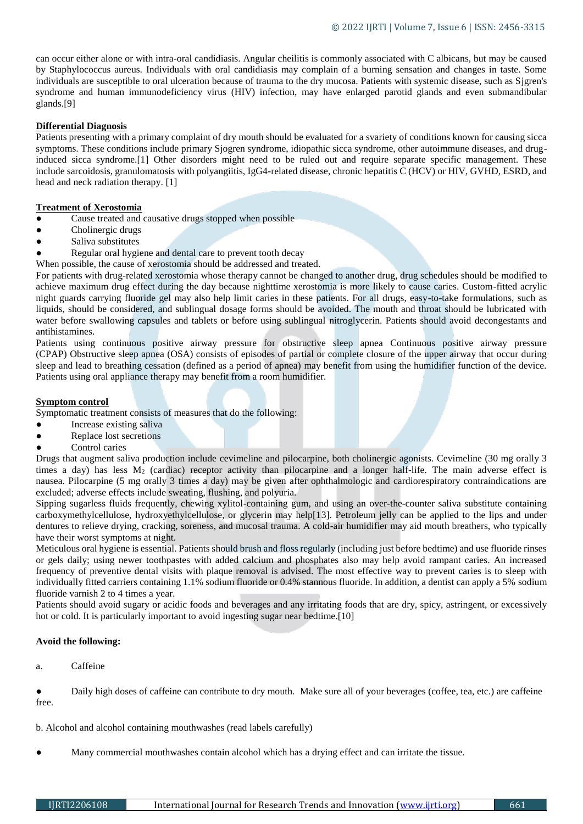can occur either alone or with intra-oral candidiasis. Angular cheilitis is commonly associated with C albicans, but may be caused by Staphylococcus aureus. Individuals with oral candidiasis may complain of a burning sensation and changes in taste. Some individuals are susceptible to oral ulceration because of trauma to the dry mucosa. Patients with systemic disease, such as Sjgren's syndrome and human immunodeficiency virus (HIV) infection, may have enlarged parotid glands and even submandibular glands.[9]

# **Differential Diagnosis**

Patients presenting with a primary complaint of dry mouth should be evaluated for a svariety of conditions known for causing sicca symptoms. These conditions include primary Sjogren syndrome, idiopathic sicca syndrome, other autoimmune diseases, and druginduced sicca syndrome.[1] Other disorders might need to be ruled out and require separate specific management. These include sarcoidosis, granulomatosis with polyangiitis, IgG4-related disease, chronic hepatitis C (HCV) or HIV, GVHD, ESRD, and head and neck radiation therapy. [1]

#### **Treatment of Xerostomia**

Cause treated and causative drugs stopped when possible

- Cholinergic drugs
- Saliva substitutes
- Regular oral hygiene and dental care to prevent tooth decay

When possible, the cause of xerostomia should be addressed and treated.

For patients with drug-related xerostomia whose therapy cannot be changed to another drug, drug schedules should be modified to achieve maximum drug effect during the day because nighttime xerostomia is more likely to cause caries. Custom-fitted acrylic night guards carrying fluoride gel may also help limit caries in these patients. For all drugs, easy-to-take formulations, such as liquids, should be considered, and sublingual dosage forms should be avoided. The mouth and throat should be lubricated with water before swallowing capsules and tablets or before using sublingual nitroglycerin. Patients should avoid decongestants and antihistamines.

Patients using [continuous positive airway pressure for obstructive sleep apnea](https://www.msdmanuals.com/professional/pulmonary-disorders/sleep-apnea/obstructive-sleep-apnea#v923467) [Continuous positive airway pressure](https://www.msdmanuals.com/professional/pulmonary-disorders/sleep-apnea/obstructive-sleep-apnea#v923467)  (CPAP) [Obstructive sleep apnea \(OSA\) consists of episodes of partial or complete closure of the upper airway that occur during](https://www.msdmanuals.com/professional/pulmonary-disorders/sleep-apnea/obstructive-sleep-apnea#v923467)  [sleep and lead to breathing cessation \(defined as a period of apnea\)](https://www.msdmanuals.com/professional/pulmonary-disorders/sleep-apnea/obstructive-sleep-apnea#v923467) may benefit from using the humidifier function of the device. Patients using oral appliance therapy may benefit from a room humidifier.

#### **Symptom control**

Symptomatic treatment consists of measures that do the following:

- Increase existing saliva
- Replace lost secretions
- Control caries

Drugs that augment saliva production include cevimeline and pilocarpine, both cholinergic agonists. Cevimeline (30 mg orally 3 times a day) has less  $M_2$  (cardiac) receptor activity than pilocarpine and a longer half-life. The main adverse effect is nausea. Pilocarpine (5 mg orally 3 times a day) may be given after ophthalmologic and cardiorespiratory contraindications are excluded; adverse effects include sweating, flushing, and polyuria.

Sipping sugarless fluids frequently, chewing xylitol-containing gum, and using an over-the-counter saliva substitute containing carboxymethylcellulose, hydroxyethylcellulose, or glycerin may help[13]. Petroleum jelly can be applied to the lips and under dentures to relieve drying, cracking, soreness, and mucosal trauma. A cold-air humidifier may aid mouth breathers, who typically have their worst symptoms at night.

Meticulous oral hygiene is essential. Patients should brush and floss regularly (including just before bedtime) and use fluoride rinses or gels daily; using newer toothpastes with added calcium and phosphates also may help avoid rampant caries. An increased frequency of preventive dental visits with plaque removal is advised. The most effective way to prevent caries is to sleep with individually fitted carriers containing 1.1% sodium fluoride or 0.4% stannous fluoride. In addition, a dentist can apply a 5% sodium fluoride varnish 2 to 4 times a year.

Patients should avoid sugary or acidic foods and beverages and any irritating foods that are dry, spicy, astringent, or excessively hot or cold. It is particularly important to avoid ingesting sugar near bedtime.[10]

#### **Avoid the following:**

a. Caffeine

Daily high doses of caffeine can contribute to dry mouth. Make sure all of your beverages (coffee, tea, etc.) are caffeine free.

b. Alcohol and alcohol containing mouthwashes (read labels carefully)

Many commercial mouthwashes contain alcohol which has a drying effect and can irritate the tissue.